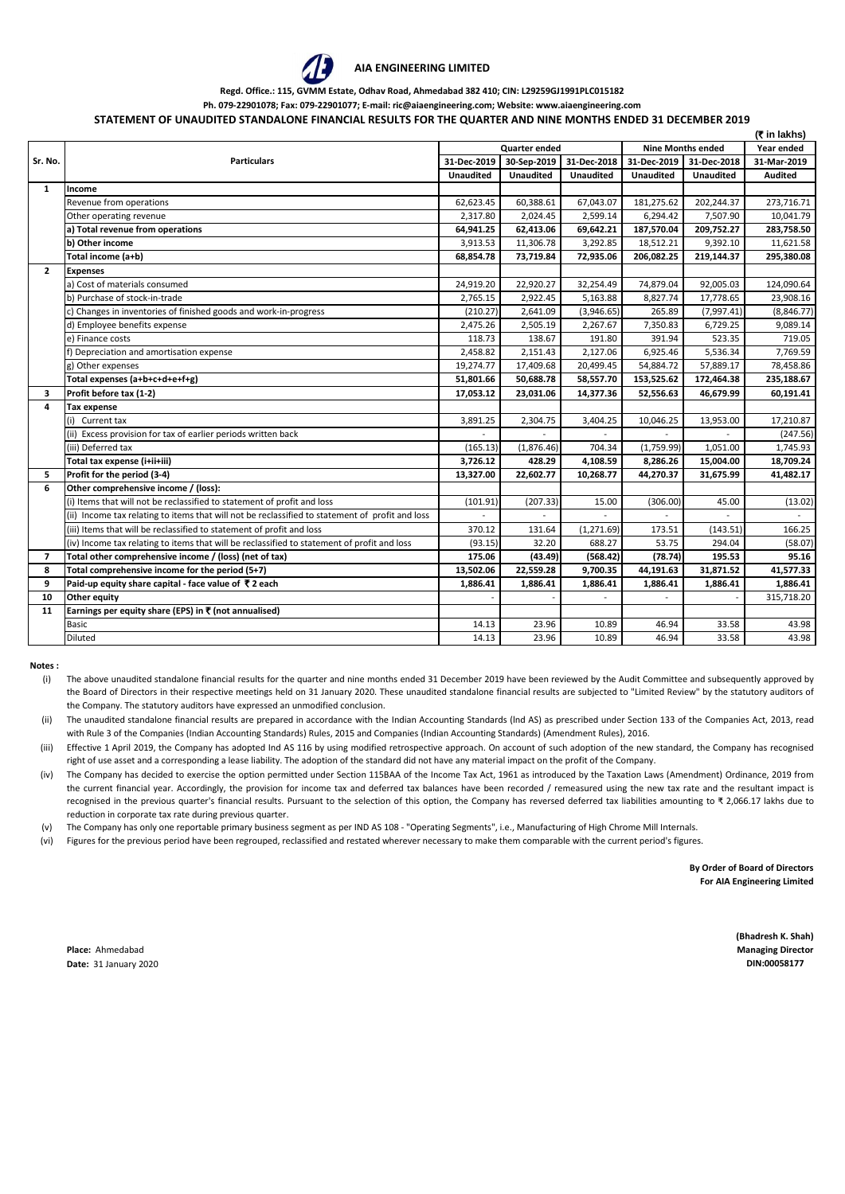

## **AIA ENGINEERING LIMITED**

## **Regd. Office.: 115, GVMM Estate, Odhav Road, Ahmedabad 382 410; CIN: L29259GJ1991PLC015182**

**Ph. 079-22901078; Fax: 079-22901077; E-mail: ric@aiaengineering.com; Website: www.aiaengineering.com**

## **STATEMENT OF UNAUDITED STANDALONE FINANCIAL RESULTS FOR THE QUARTER AND NINE MONTHS ENDED 31 DECEMBER 2019**

|              | (₹ in lakhs)                                                                                    |                  |                      |                  |                          |                  |                |  |  |
|--------------|-------------------------------------------------------------------------------------------------|------------------|----------------------|------------------|--------------------------|------------------|----------------|--|--|
|              |                                                                                                 |                  | <b>Quarter ended</b> |                  | <b>Nine Months ended</b> | Year ended       |                |  |  |
| Sr. No.      | <b>Particulars</b>                                                                              | 31-Dec-2019      | 30-Sep-2019          | 31-Dec-2018      | 31-Dec-2019              | 31-Dec-2018      | 31-Mar-2019    |  |  |
|              |                                                                                                 | <b>Unaudited</b> | <b>Unaudited</b>     | <b>Unaudited</b> | <b>Unaudited</b>         | <b>Unaudited</b> | <b>Audited</b> |  |  |
| $\mathbf{1}$ | Income                                                                                          |                  |                      |                  |                          |                  |                |  |  |
|              | Revenue from operations                                                                         | 62,623.45        | 60,388.61            | 67,043.07        | 181,275.62               | 202,244.37       | 273,716.71     |  |  |
|              | Other operating revenue                                                                         | 2,317.80         | 2,024.45             | 2,599.14         | 6,294.42                 | 7,507.90         | 10,041.79      |  |  |
|              | a) Total revenue from operations                                                                | 64,941.25        | 62,413.06            | 69,642.21        | 187,570.04               | 209,752.27       | 283,758.50     |  |  |
|              | b) Other income                                                                                 | 3,913.53         | 11,306.78            | 3,292.85         | 18,512.21                | 9,392.10         | 11,621.58      |  |  |
|              | Total income (a+b)                                                                              | 68,854.78        | 73,719.84            | 72,935.06        | 206,082.25               | 219,144.37       | 295,380.08     |  |  |
| $\mathbf{2}$ | <b>Expenses</b>                                                                                 |                  |                      |                  |                          |                  |                |  |  |
|              | a) Cost of materials consumed                                                                   | 24,919.20        | 22,920.27            | 32,254.49        | 74,879.04                | 92,005.03        | 124,090.64     |  |  |
|              | b) Purchase of stock-in-trade                                                                   | 2,765.15         | 2,922.45             | 5,163.88         | 8,827.74                 | 17,778.65        | 23,908.16      |  |  |
|              | c) Changes in inventories of finished goods and work-in-progress                                | (210.27)         | 2,641.09             | (3,946.65)       | 265.89                   | (7,997.41)       | (8,846.77)     |  |  |
|              | d) Employee benefits expense                                                                    | 2,475.26         | 2,505.19             | 2,267.67         | 7,350.83                 | 6,729.25         | 9,089.14       |  |  |
|              | e) Finance costs                                                                                | 118.73           | 138.67               | 191.80           | 391.94                   | 523.35           | 719.05         |  |  |
|              | f) Depreciation and amortisation expense                                                        | 2,458.82         | 2,151.43             | 2,127.06         | 6,925.46                 | 5,536.34         | 7,769.59       |  |  |
|              | g) Other expenses                                                                               | 19,274.77        | 17,409.68            | 20,499.45        | 54,884.72                | 57,889.17        | 78,458.86      |  |  |
|              | Total expenses (a+b+c+d+e+f+g)                                                                  | 51,801.66        | 50,688.78            | 58,557.70        | 153,525.62               | 172,464.38       | 235,188.67     |  |  |
| 3            | Profit before tax (1-2)                                                                         | 17,053.12        | 23,031.06            | 14,377.36        | 52,556.63                | 46,679.99        | 60,191.41      |  |  |
| 4            | Tax expense                                                                                     |                  |                      |                  |                          |                  |                |  |  |
|              | (i) Current tax                                                                                 | 3,891.25         | 2,304.75             | 3,404.25         | 10,046.25                | 13,953.00        | 17,210.87      |  |  |
|              | (ii) Excess provision for tax of earlier periods written back                                   |                  |                      |                  |                          |                  | (247.56)       |  |  |
|              | (iii) Deferred tax                                                                              | (165.13)         | (1,876.46)           | 704.34           | (1,759.99)               | 1,051.00         | 1,745.93       |  |  |
|              | Total tax expense (i+ii+iii)                                                                    | 3,726.12         | 428.29               | 4,108.59         | 8,286.26                 | 15,004.00        | 18,709.24      |  |  |
| 5            | Profit for the period (3-4)                                                                     | 13,327.00        | 22,602.77            | 10,268.77        | 44,270.37                | 31,675.99        | 41,482.17      |  |  |
| 6            | Other comprehensive income / (loss):                                                            |                  |                      |                  |                          |                  |                |  |  |
|              | (i) Items that will not be reclassified to statement of profit and loss                         | (101.91)         | (207.33)             | 15.00            | (306.00)                 | 45.00            | (13.02)        |  |  |
|              | (ii) Income tax relating to items that will not be reclassified to statement of profit and loss |                  |                      |                  |                          |                  |                |  |  |
|              | (iii) Items that will be reclassified to statement of profit and loss                           | 370.12           | 131.64               | (1, 271.69)      | 173.51                   | (143.51)         | 166.25         |  |  |
|              | (iv) Income tax relating to items that will be reclassified to statement of profit and loss     | (93.15)          | 32.20                | 688.27           | 53.75                    | 294.04           | (58.07)        |  |  |
| 7            | Total other comprehensive income / (loss) (net of tax)                                          | 175.06           | (43.49)              | (568.42)         | (78.74)                  | 195.53           | 95.16          |  |  |
| 8            | Total comprehensive income for the period (5+7)                                                 | 13,502.06        | 22,559.28            | 9,700.35         | 44,191.63                | 31,871.52        | 41,577.33      |  |  |
| 9            | Paid-up equity share capital - face value of ₹2 each                                            | 1,886.41         | 1,886.41             | 1,886.41         | 1,886.41                 | 1,886.41         | 1,886.41       |  |  |
| 10           | Other equity                                                                                    |                  |                      |                  |                          |                  | 315,718.20     |  |  |
| 11           | Earnings per equity share (EPS) in ₹ (not annualised)                                           |                  |                      |                  |                          |                  |                |  |  |
|              | <b>Basic</b>                                                                                    | 14.13            | 23.96                | 10.89            | 46.94                    | 33.58            | 43.98          |  |  |
|              | <b>Diluted</b>                                                                                  | 14.13            | 23.96                | 10.89            | 46.94                    | 33.58            | 43.98          |  |  |

**Notes :**

- (i) The above unaudited standalone financial results for the quarter and nine months ended 31 December 2019 have been reviewed by the Audit Committee and subsequently approved by the Board of Directors in their respective meetings held on 31 January 2020. These unaudited standalone financial results are subjected to "Limited Review" by the statutory auditors of the Company. The statutory auditors have expressed an unmodified conclusion.
- (ii) The unaudited standalone financial results are prepared in accordance with the Indian Accounting Standards (lnd AS) as prescribed under Section 133 of the Companies Act, 2013, read with Rule 3 of the Companies (Indian Accounting Standards) Rules, 2015 and Companies (Indian Accounting Standards) (Amendment Rules), 2016.
- (iii) Effective 1 April 2019, the Company has adopted Ind AS 116 by using modified retrospective approach. On account of such adoption of the new standard, the Company has recognised right of use asset and a corresponding a lease liability. The adoption of the standard did not have any material impact on the profit of the Company.
- (iv) The Company has decided to exercise the option permitted under Section 115BAA of the Income Tax Act, 1961 as introduced by the Taxation Laws (Amendment) Ordinance, 2019 from the current financial year. Accordingly, the provision for income tax and deferred tax balances have been recorded / remeasured using the new tax rate and the resultant impact is recognised in the previous quarter's financial results. Pursuant to the selection of this option, the Company has reversed deferred tax liabilities amounting to ₹ 2,066.17 lakhs due to reduction in corporate tax rate during previous quarter.
- (v) The Company has only one reportable primary business segment as per IND AS 108 - "Operating Segments", i.e., Manufacturing of High Chrome Mill Internals.
- (vi) Figures for the previous period have been regrouped, reclassified and restated wherever necessary to make them comparable with the current period's figures.

**By Order of Board of Directors For AIA Engineering Limited**

**Place:** Ahmedabad **Managing Director Date:** 31 January 2020 **DIN:00058177**

**(Bhadresh K. Shah)**